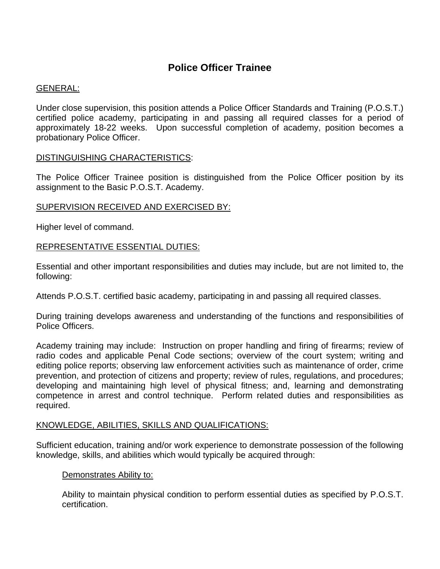# **Police Officer Trainee**

## GENERAL:

Under close supervision, this position attends a Police Officer Standards and Training (P.O.S.T.) certified police academy, participating in and passing all required classes for a period of approximately 18-22 weeks. Upon successful completion of academy, position becomes a probationary Police Officer.

## DISTINGUISHING CHARACTERISTICS:

The Police Officer Trainee position is distinguished from the Police Officer position by its assignment to the Basic P.O.S.T. Academy.

## SUPERVISION RECEIVED AND EXERCISED BY:

Higher level of command.

### REPRESENTATIVE ESSENTIAL DUTIES:

Essential and other important responsibilities and duties may include, but are not limited to, the following:

Attends P.O.S.T. certified basic academy, participating in and passing all required classes.

During training develops awareness and understanding of the functions and responsibilities of Police Officers.

Academy training may include: Instruction on proper handling and firing of firearms; review of radio codes and applicable Penal Code sections; overview of the court system; writing and editing police reports; observing law enforcement activities such as maintenance of order, crime prevention, and protection of citizens and property; review of rules, regulations, and procedures; developing and maintaining high level of physical fitness; and, learning and demonstrating competence in arrest and control technique. Perform related duties and responsibilities as required.

#### KNOWLEDGE, ABILITIES, SKILLS AND QUALIFICATIONS:

Sufficient education, training and/or work experience to demonstrate possession of the following knowledge, skills, and abilities which would typically be acquired through:

#### Demonstrates Ability to:

Ability to maintain physical condition to perform essential duties as specified by P.O.S.T. certification.